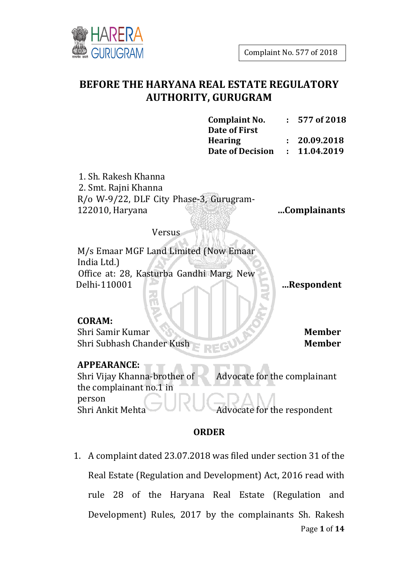

# **BEFORE THE HARYANA REAL ESTATE REGULATORY AUTHORITY, GURUGRAM**

| <b>Complaint No.</b>    | $: 577$ of 2018 |
|-------------------------|-----------------|
| Date of First           |                 |
| <b>Hearing</b>          | : 20.09.2018    |
| <b>Date of Decision</b> | : 11.04.2019    |

1. Sh. Rakesh Khanna 2. Smt. Rajni Khanna R/o W-9/22, DLF City Phase-3, Gurugram-122010, Haryana

 **…Complainants**

Versus

M/s Emaar MGF Land Limited (Now Emaar India Ltd.) Office at: 28, Kasturba Gandhi Marg, New Delhi-110001  **…Respondent**

#### **CORAM:**

Shri Samir Kumar **Member** Shri Subhash Chander Kush **Member**

#### **APPEARANCE:**

Shri Vijay Khanna-brother of the complainant no.1 in person Advocate for the complainant Shri Ankit Mehta Advocate for the respondent

#### **ORDER**

Page **1** of **14** 1. A complaint dated 23.07.2018 was filed under section 31 of the Real Estate (Regulation and Development) Act, 2016 read with rule 28 of the Haryana Real Estate (Regulation and Development) Rules, 2017 by the complainants Sh. Rakesh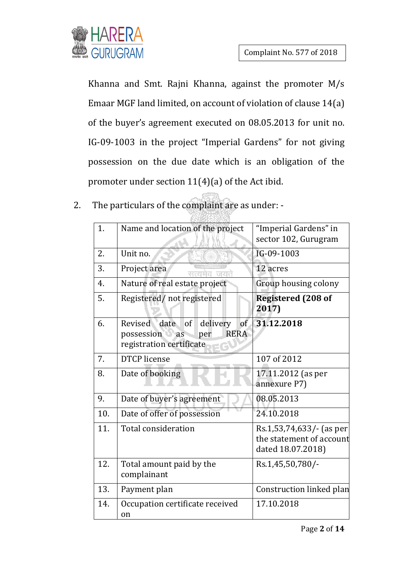

Khanna and Smt. Rajni Khanna, against the promoter M/s Emaar MGF land limited, on account of violation of clause 14(a) of the buyer's agreement executed on 08.05.2013 for unit no. IG-09-1003 in the project "Imperial Gardens" for not giving possession on the due date which is an obligation of the promoter under section 11(4)(a) of the Act ibid.

2. The particulars of the complaint are as under: -

| 1.               | Name and location of the project                                                                           | "Imperial Gardens" in<br>sector 102, Gurugram                             |
|------------------|------------------------------------------------------------------------------------------------------------|---------------------------------------------------------------------------|
| 2.               | Unit no.                                                                                                   | IG-09-1003                                                                |
| 3.               | Project area                                                                                               | 12 acres                                                                  |
| $\overline{4}$ . | Nature of real estate project                                                                              | Group housing colony                                                      |
| 5.               | Registered/not registered                                                                                  | <b>Registered (208 of</b><br>2017)                                        |
| 6.               | date<br>of<br>delivery<br>of<br>Revised<br><b>RERA</b><br>possession as<br>per<br>registration certificate | 31.12.2018                                                                |
| 7.               | <b>DTCP</b> license                                                                                        | 107 of 2012                                                               |
| 8.               | Date of booking                                                                                            | 17.11.2012 (as per<br>annexure P7)                                        |
| 9.               | Date of buyer's agreement                                                                                  | 08.05.2013                                                                |
| 10.              | Date of offer of possession                                                                                | 24.10.2018                                                                |
| 11.              | <b>Total consideration</b>                                                                                 | Rs.1,53,74,633/- (as per<br>the statement of account<br>dated 18.07.2018) |
| 12.              | Total amount paid by the<br>complainant                                                                    | Rs.1,45,50,780/-                                                          |
| 13.              | Payment plan                                                                                               | Construction linked plan                                                  |
| 14.              | Occupation certificate received<br>on                                                                      | 17.10.2018                                                                |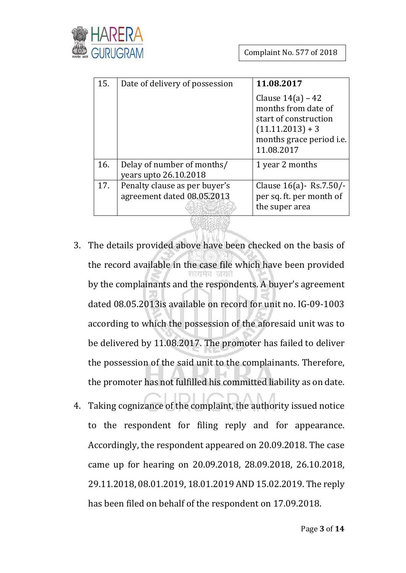

| 15. | Date of delivery of possession                              | 11.08.2017                                                                                                                                 |
|-----|-------------------------------------------------------------|--------------------------------------------------------------------------------------------------------------------------------------------|
|     |                                                             | Clause $14(a) - 42$<br>months from date of<br>start of construction<br>$(11.11.2013) + 3$<br>months grace period <i>i.e.</i><br>11.08.2017 |
| 16. | Delay of number of months/<br>years upto 26.10.2018         | 1 year 2 months                                                                                                                            |
| 17. | Penalty clause as per buyer's<br>agreement dated 08.05.2013 | Clause $16(a)$ - Rs.7.50/-<br>per sq. ft. per month of<br>the super area                                                                   |

- 3. The details provided above have been checked on the basis of the record available in the case file which have been provided by the complainants and the respondents. A buyer's agreement dated 08.05.2013is available on record for unit no. IG-09-1003 according to which the possession of the aforesaid unit was to be delivered by 11.08.2017. The promoter has failed to deliver the possession of the said unit to the complainants. Therefore, the promoter has not fulfilled his committed liability as on date.
- 4. Taking cognizance of the complaint, the authority issued notice to the respondent for filing reply and for appearance. Accordingly, the respondent appeared on 20.09.2018. The case came up for hearing on 20.09.2018, 28.09.2018, 26.10.2018, 29.11.2018, 08.01.2019, 18.01.2019 AND 15.02.2019. The reply has been filed on behalf of the respondent on 17.09.2018.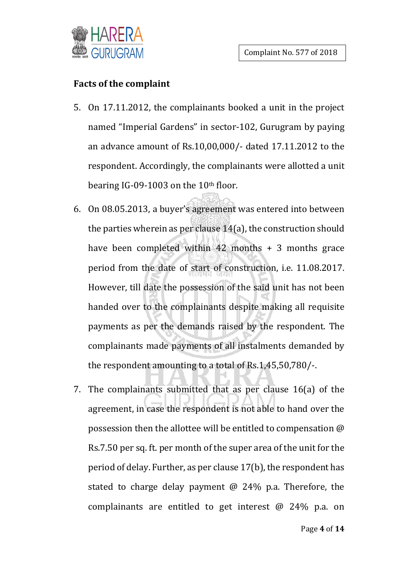

#### **Facts of the complaint**

- 5. On 17.11.2012, the complainants booked a unit in the project named "Imperial Gardens" in sector-102, Gurugram by paying an advance amount of Rs.10,00,000/- dated 17.11.2012 to the respondent. Accordingly, the complainants were allotted a unit bearing IG-09-1003 on the 10<sup>th</sup> floor.
- 6. On 08.05.2013, a buyer's agreement was entered into between the parties wherein as per clause 14(a), the construction should have been completed within  $42$  months + 3 months grace period from the date of start of construction, i.e. 11.08.2017. However, till date the possession of the said unit has not been handed over to the complainants despite making all requisite payments as per the demands raised by the respondent. The complainants made payments of all instalments demanded by the respondent amounting to a total of Rs.1,45,50,780/-.
- 7. The complainants submitted that as per clause 16(a) of the agreement, in case the respondent is not able to hand over the possession then the allottee will be entitled to compensation @ Rs.7.50 per sq. ft. per month of the super area of the unit for the period of delay. Further, as per clause 17(b), the respondent has stated to charge delay payment @ 24% p.a. Therefore, the complainants are entitled to get interest @ 24% p.a. on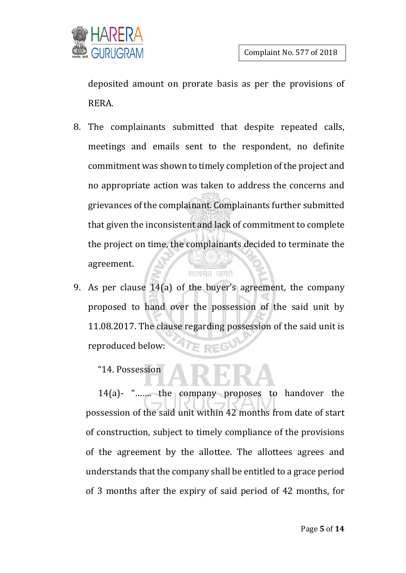

deposited amount on prorate basis as per the provisions of RERA.

- 8. The complainants submitted that despite repeated calls, meetings and emails sent to the respondent, no definite commitment was shown to timely completion of the project and no appropriate action was taken to address the concerns and grievances of the complainant. Complainants further submitted that given the inconsistent and lack of commitment to complete the project on time, the complainants decided to terminate the agreement. सत्यमेव जयते
- 9. As per clause 14(a) of the buyer's agreement, the company proposed to hand over the possession of the said unit by 11.08.2017. The clause regarding possession of the said unit is reproduced below: E

#### "14. Possession

14(a)- "……. the company proposes to handover the possession of the said unit within 42 months from date of start of construction, subject to timely compliance of the provisions of the agreement by the allottee. The allottees agrees and understands that the company shall be entitled to a grace period of 3 months after the expiry of said period of 42 months, for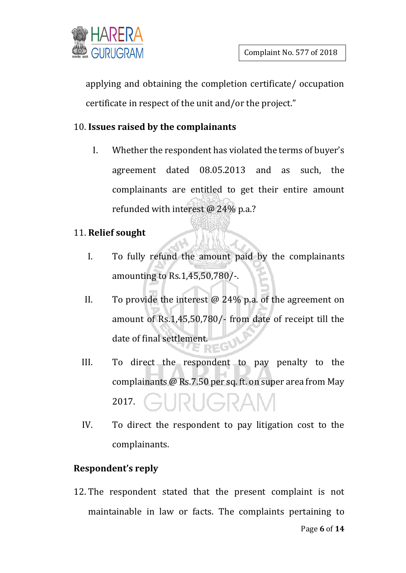

applying and obtaining the completion certificate/ occupation certificate in respect of the unit and/or the project."

# 10. **Issues raised by the complainants**

I. Whether the respondent has violated the terms of buyer's agreement dated 08.05.2013 and as such, the complainants are entitled to get their entire amount refunded with interest @ 24% p.a.?

# 11. **Relief sought**

- I. To fully refund the amount paid by the complainants amounting to Rs.1,45,50,780/-.
- II. To provide the interest  $\omega$  24% p.a. of the agreement on amount of Rs.1,45,50,780/- from date of receipt till the date of final settlement. ECU
- III. To direct the respondent to pay penalty to the complainants @ Rs.7.50 per sq. ft. on super area from May 2017.
- IV. To direct the respondent to pay litigation cost to the complainants.

# **Respondent's reply**

12. The respondent stated that the present complaint is not maintainable in law or facts. The complaints pertaining to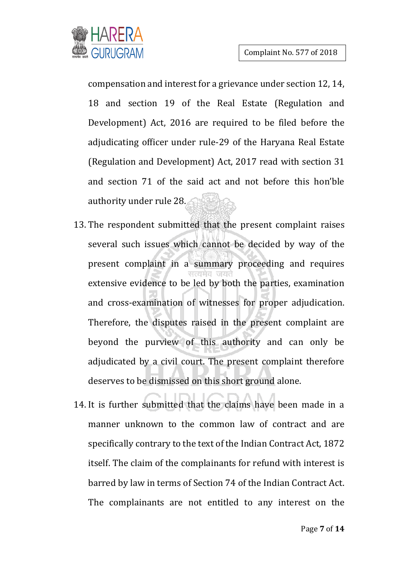

compensation and interest for a grievance under section 12, 14, 18 and section 19 of the Real Estate (Regulation and Development) Act, 2016 are required to be filed before the adjudicating officer under rule-29 of the Haryana Real Estate (Regulation and Development) Act, 2017 read with section 31 and section 71 of the said act and not before this hon'ble authority under rule 28.

- 13. The respondent submitted that the present complaint raises several such issues which cannot be decided by way of the present complaint in a summary proceeding and requires extensive evidence to be led by both the parties, examination and cross-examination of witnesses for proper adjudication. Therefore, the disputes raised in the present complaint are beyond the purview of this authority and can only be adjudicated by a civil court. The present complaint therefore deserves to be dismissed on this short ground alone.
- 14. It is further submitted that the claims have been made in a manner unknown to the common law of contract and are specifically contrary to the text of the Indian Contract Act, 1872 itself. The claim of the complainants for refund with interest is barred by law in terms of Section 74 of the Indian Contract Act. The complainants are not entitled to any interest on the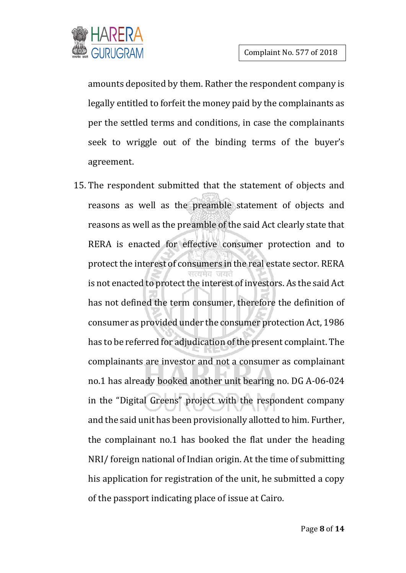

amounts deposited by them. Rather the respondent company is legally entitled to forfeit the money paid by the complainants as per the settled terms and conditions, in case the complainants seek to wriggle out of the binding terms of the buyer's agreement.

15. The respondent submitted that the statement of objects and reasons as well as the preamble statement of objects and reasons as well as the preamble of the said Act clearly state that RERA is enacted for effective consumer protection and to protect the interest of consumers in the real estate sector. RERA is not enacted to protect the interest of investors. As the said Act has not defined the term consumer, therefore the definition of consumer as provided under the consumer protection Act, 1986 has to be referred for adjudication of the present complaint. The complainants are investor and not a consumer as complainant no.1 has already booked another unit bearing no. DG A-06-024 in the "Digital Greens" project with the respondent company and the said unit has been provisionally allotted to him. Further, the complainant no.1 has booked the flat under the heading NRI/ foreign national of Indian origin. At the time of submitting his application for registration of the unit, he submitted a copy of the passport indicating place of issue at Cairo.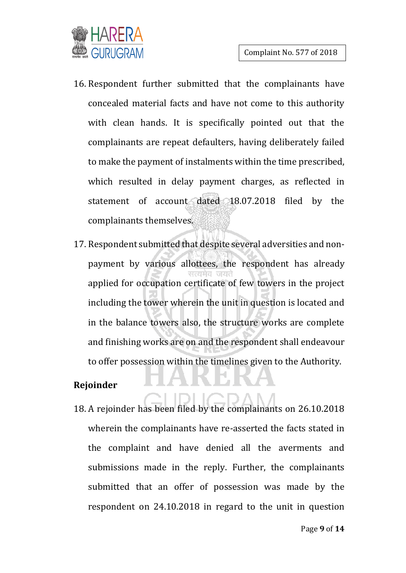- 16. Respondent further submitted that the complainants have concealed material facts and have not come to this authority with clean hands. It is specifically pointed out that the complainants are repeat defaulters, having deliberately failed to make the payment of instalments within the time prescribed, which resulted in delay payment charges, as reflected in statement of account dated 18.07.2018 filed by the complainants themselves.
- 17. Respondent submitted that despite several adversities and nonpayment by various allottees, the respondent has already applied for occupation certificate of few towers in the project including the tower wherein the unit in question is located and in the balance towers also, the structure works are complete and finishing works are on and the respondent shall endeavour to offer possession within the timelines given to the Authority.

# **Rejoinder**

18. A rejoinder has been filed by the complainants on 26.10.2018 wherein the complainants have re-asserted the facts stated in the complaint and have denied all the averments and submissions made in the reply. Further, the complainants submitted that an offer of possession was made by the respondent on 24.10.2018 in regard to the unit in question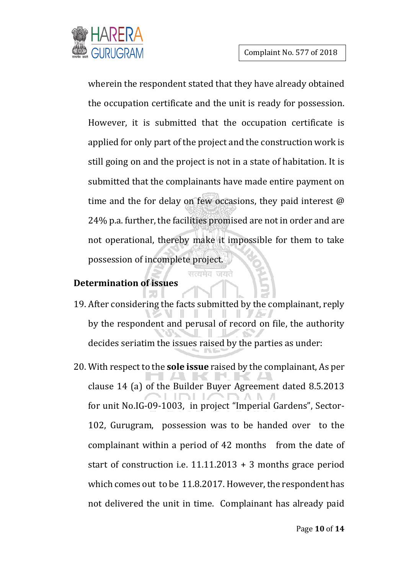

wherein the respondent stated that they have already obtained the occupation certificate and the unit is ready for possession. However, it is submitted that the occupation certificate is applied for only part of the project and the construction work is still going on and the project is not in a state of habitation. It is submitted that the complainants have made entire payment on time and the for delay on few occasions, they paid interest @ 24% p.a. further, the facilities promised are not in order and are not operational, thereby make it impossible for them to take possession of incomplete project.

#### **Determination of issues**

- 19. After considering the facts submitted by the complainant, reply by the respondent and perusal of record on file, the authority decides seriatim the issues raised by the parties as under:
- 20. With respect to the **sole issue** raised by the complainant, As per clause 14 (a) of the Builder Buyer Agreement dated 8.5.2013 for unit No.IG-09-1003, in project "Imperial Gardens", Sector-102, Gurugram, possession was to be handed over to the complainant within a period of 42 months from the date of start of construction i.e. 11.11.2013 + 3 months grace period which comes out to be 11.8.2017. However, the respondent has not delivered the unit in time. Complainant has already paid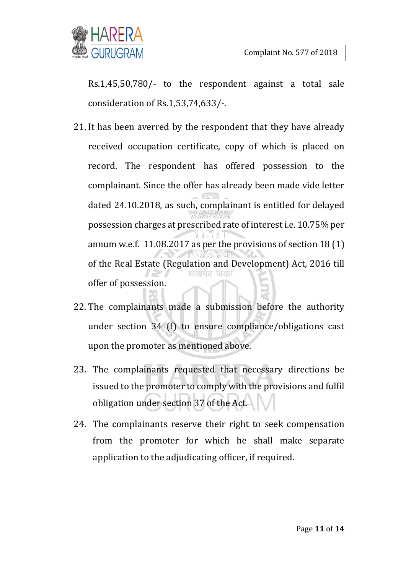

Rs.1,45,50,780/- to the respondent against a total sale consideration of Rs.1,53,74,633/-.

- 21. It has been averred by the respondent that they have already received occupation certificate, copy of which is placed on record. The respondent has offered possession to the complainant. Since the offer has already been made vide letter dated 24.10.2018, as such, complainant is entitled for delayed possession charges at prescribed rate of interest i.e. 10.75% per annum w.e.f. 11.08.2017 as per the provisions of section 18 (1) of the Real Estate (Regulation and Development) Act, 2016 till सत्यमेव जयते offer of possession.
- 22. The complainants made a submission before the authority under section 34 (f) to ensure compliance/obligations cast upon the promoter as mentioned above.
- 23. The complainants requested that necessary directions be issued to the promoter to comply with the provisions and fulfil obligation under section 37 of the Act.
- 24. The complainants reserve their right to seek compensation from the promoter for which he shall make separate application to the adjudicating officer, if required.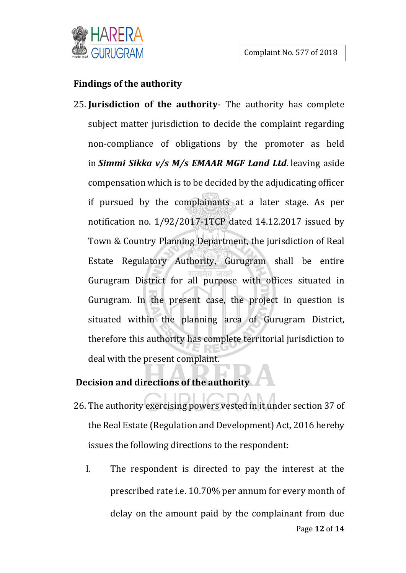#### **Findings of the authority**

25. **Jurisdiction of the authority**- The authority has complete subject matter jurisdiction to decide the complaint regarding non-compliance of obligations by the promoter as held in *Simmi Sikka v/s M/s EMAAR MGF Land Ltd.* leaving aside compensation which is to be decided by the adjudicating officer if pursued by the complainants at a later stage. As per notification no. 1/92/2017-1TCP dated 14.12.2017 issued by Town & Country Planning Department, the jurisdiction of Real Estate Regulatory Authority, Gurugram shall be entire Gurugram District for all purpose with offices situated in Gurugram. In the present case, the project in question is situated within the planning area of Gurugram District, therefore this authority has complete territorial jurisdiction to deal with the present complaint.

# **Decision and directions of the authority**

- 26. The authority exercising powers vested in it under section 37 of the Real Estate (Regulation and Development) Act, 2016 hereby issues the following directions to the respondent:
	- Page **12** of **14** I. The respondent is directed to pay the interest at the prescribed rate i.e. 10.70% per annum for every month of delay on the amount paid by the complainant from due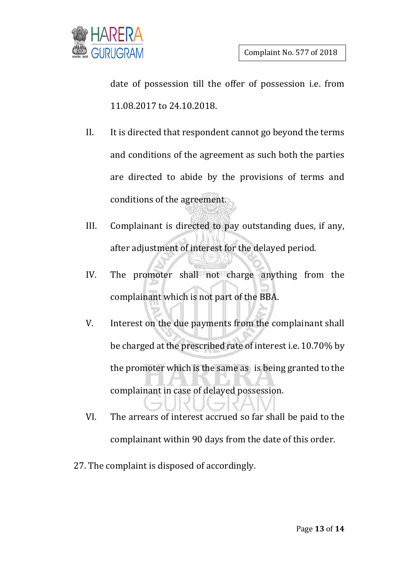

date of possession till the offer of possession i.e. from 11.08.2017 to 24.10.2018.

- II. It is directed that respondent cannot go beyond the terms and conditions of the agreement as such both the parties are directed to abide by the provisions of terms and conditions of the agreement.
- III. Complainant is directed to pay outstanding dues, if any, after adjustment of interest for the delayed period.
- IV. The promoter shall not charge anything from the complainant which is not part of the BBA.
- V. Interest on the due payments from the complainant shall be charged at the prescribed rate of interest i.e. 10.70% by the promoter which is the same as is being granted to the complainant in case of delayed possession.
- VI. The arrears of interest accrued so far shall be paid to the complainant within 90 days from the date of this order.
- 27. The complaint is disposed of accordingly.